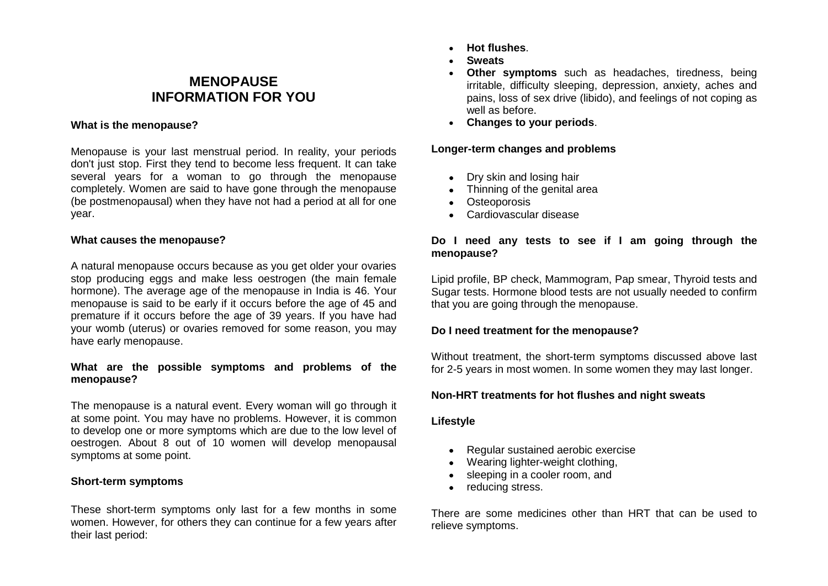# **MENOPAUSE INFORMATION FOR YOU**

#### **What is the menopause?**

Menopause is your last menstrual period. In reality, your periods don't just stop. First they tend to become less frequent. It can take several years for a woman to go through the menopause completely. Women are said to have gone through the menopause (be postmenopausal) when they have not had a period at all for one year.

#### **What causes the menopause?**

A natural menopause occurs because as you get older your ovaries stop producing eggs and make less oestrogen (the main female hormone). The average age of the menopause in India is 46. Your menopause is said to be early if it occurs before the age of 45 and premature if it occurs before the age of 39 years. If you have had your womb (uterus) or ovaries removed for some reason, you may have early menopause.

#### **What are the possible symptoms and problems of the menopause?**

The menopause is a natural event. Every woman will go through it at some point. You may have no problems. However, it is common to develop one or more symptoms which are due to the low level of oestrogen. About 8 out of 10 women will develop menopausal symptoms at some point.

#### **Short-term symptoms**

These short-term symptoms only last for a few months in some women. However, for others they can continue for a few years after their last period:

- **Hot flushes**.
- **Sweats**
- **Other symptoms** such as headaches, tiredness, being irritable, difficulty sleeping, depression, anxiety, aches and pains, loss of sex drive (libido), and feelings of not coping as well as before.
- **Changes to your periods**.

#### **Longer-term changes and problems**

- Dry skin and losing hair
- Thinning of the genital area
- Osteoporosis
- Cardiovascular disease

#### **Do I need any tests to see if I am going through the menopause?**

Lipid profile, BP check, Mammogram, Pap smear, Thyroid tests and Sugar tests. Hormone blood tests are not usually needed to confirm that you are going through the menopause.

## **Do I need treatment for the menopause?**

Without treatment, the short-term symptoms discussed above last for 2-5 years in most women. In some women they may last longer.

## **Non-HRT treatments for hot flushes and night sweats**

## **Lifestyle**

- Regular sustained aerobic exercise
- Wearing lighter-weight clothing,
- sleeping in a cooler room, and
- reducing stress.

There are some medicines other than HRT that can be used to relieve symptoms.